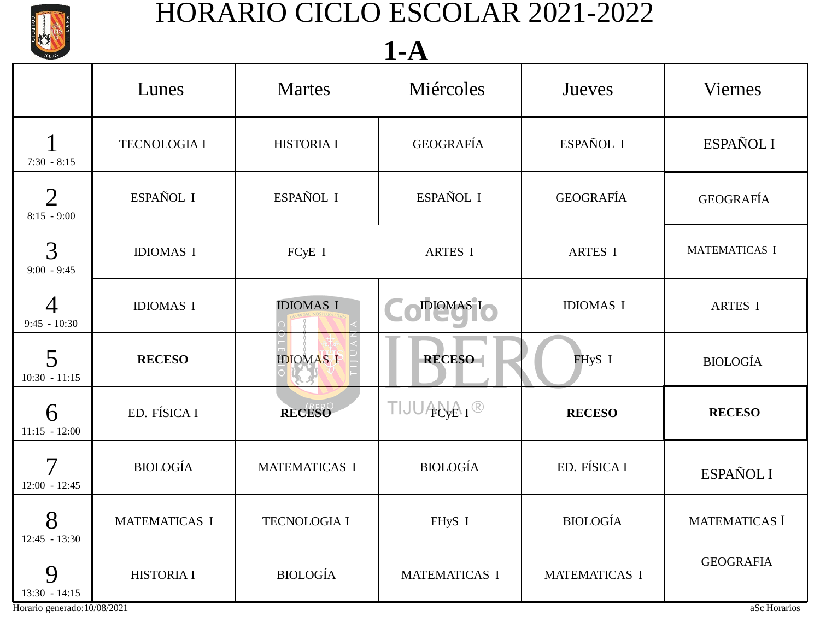

### 7:30 - 8:15 8:15 - 9:00 Lunes Martes Miércoles Jueves Viernes 1 TECNOLOGIA I HISTORIA I GEOGRAFÍA ESPAÑOL I 2 ESPAÑOL I ESPAÑOL I ESPAÑOL I GEOGRAFÍA ESPAÑOL I GEOGRAFÍA **1-A**

| —<br>$8:15 - 9:00$          |                   |                      |                                           |                  |                      |
|-----------------------------|-------------------|----------------------|-------------------------------------------|------------------|----------------------|
| 3<br>$9:00 - 9:45$          | <b>IDIOMAS I</b>  | FCyE I               | <b>ARTES I</b>                            | <b>ARTES I</b>   | <b>MATEMATICAS I</b> |
| $9:45 - 10:30$              | <b>IDIOMAS I</b>  | <b>IDIOMAS I</b>     | IDIOMAS I                                 | <b>IDIOMAS I</b> | ARTES I              |
| 5<br>$10:30 - 11:15$        | <b>RECESO</b>     | <b>IDIOMAS I</b>     | <b>RECESO-</b>                            | FHyS I           | <b>BIOLOGÍA</b>      |
| 6<br>$11:15 - 12:00$        | ED. FÍSICA I      | RECESO               | TIJU <b>ANA</b> <sub>I</sub> <sup>®</sup> | <b>RECESO</b>    | <b>RECESO</b>        |
| 7<br>$12:00 - 12:45$        | <b>BIOLOGÍA</b>   | <b>MATEMATICAS I</b> | <b>BIOLOGÍA</b>                           | ED. FÍSICA I     | ESPAÑOL I            |
| 8<br>$12:45 - 13:30$        | MATEMATICAS I     | TECNOLOGIA I         | FHyS I                                    | <b>BIOLOGÍA</b>  | MATEMATICAS I        |
| 9<br>$13:30 - 14:15$        | <b>HISTORIA I</b> | <b>BIOLOGÍA</b>      | <b>MATEMATICAS I</b>                      | MATEMATICAS I    | <b>GEOGRAFIA</b>     |
| Horario generado:10/08/2021 |                   |                      |                                           |                  | aSc Horarios         |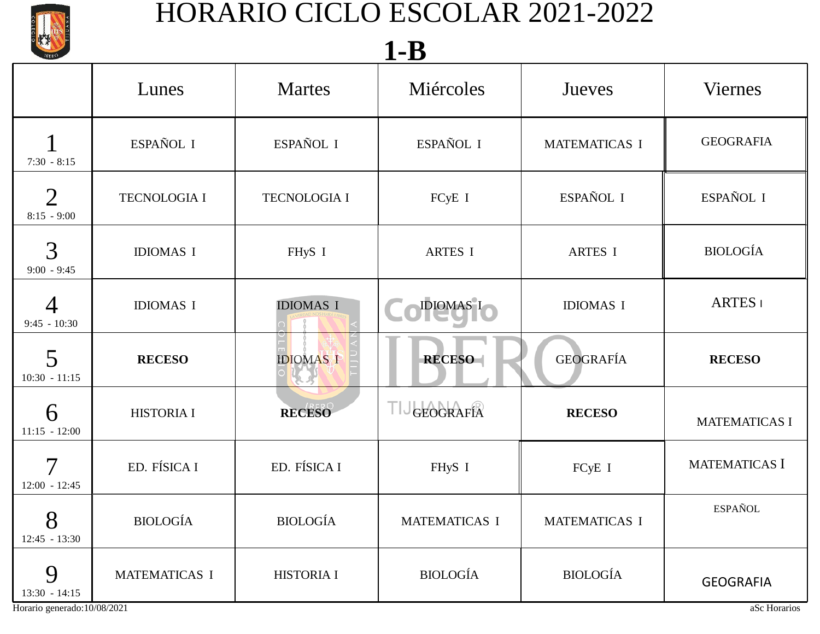

| <b>IBERO</b>                                |                     |                     | 1-D              |                      |                      |
|---------------------------------------------|---------------------|---------------------|------------------|----------------------|----------------------|
|                                             | Lunes               | <b>Martes</b>       | Miércoles        | Jueves               | <b>Viernes</b>       |
| $7:30 - 8:15$                               | ESPAÑOL I           | ESPAÑOL I           | ESPAÑOL I        | <b>MATEMATICAS I</b> | <b>GEOGRAFIA</b>     |
| $\overline{2}$<br>$8:15 - 9:00$             | <b>TECNOLOGIA I</b> | <b>TECNOLOGIA I</b> | FCyE I           | ESPAÑOL I            | ESPAÑOL I            |
| 3<br>$9:00 - 9:45$                          | <b>IDIOMAS I</b>    | FHyS I              | <b>ARTES I</b>   | <b>ARTES I</b>       | <b>BIOLOGÍA</b>      |
| 4<br>$9:45 - 10:30$                         | <b>IDIOMAS I</b>    | <b>IDIOMAS I</b>    | IDIOMAS I        | <b>IDIOMAS I</b>     | <b>ARTES</b>         |
| 5<br>$10:30 - 11:15$                        | <b>RECESO</b>       | <b>IDIOMAS I</b>    | <b>RECESO-</b>   | <b>GEOGRAFÍA</b>     | <b>RECESO</b>        |
| 6<br>$11:15 - 12:00$                        | <b>HISTORIA I</b>   | <b>RECESO</b>       | <b>GEOGRAFÍA</b> | <b>RECESO</b>        | <b>MATEMATICAS I</b> |
| 7<br>$12:00 - 12:45$                        | ED. FÍSICA I        | ED. FÍSICA I        | FHyS I           | FCyE I               | <b>MATEMATICAS I</b> |
| $\mathbf{O}$<br>$\delta$<br>$12:45 - 13:30$ | BIOLOGÍA            | <b>BIOLOGÍA</b>     | MATEMATICAS I    | MATEMATICAS I        | <b>ESPAÑOL</b>       |
| 9<br>$13:30 - 14:15$                        | MATEMATICAS I       | HISTORIA I          | <b>BIOLOGÍA</b>  | <b>BIOLOGÍA</b>      | <b>GEOGRAFIA</b>     |
| Horario generado:10/08/2021                 |                     |                     |                  |                      | aSc Horarios         |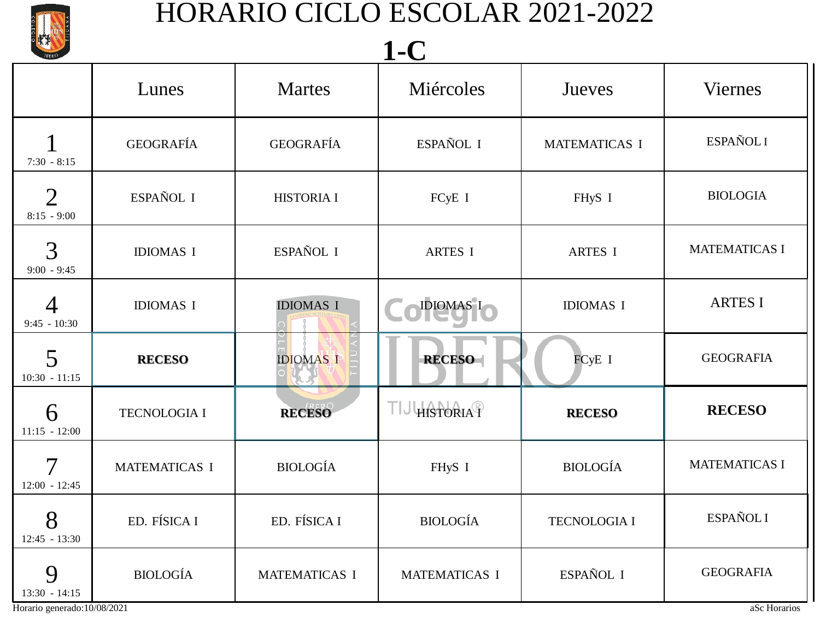

| <b>IBERO</b>                                |                  |                   | $\blacksquare$       |                      |                      |
|---------------------------------------------|------------------|-------------------|----------------------|----------------------|----------------------|
|                                             | Lunes            | <b>Martes</b>     | Miércoles            | Jueves               | <b>Viernes</b>       |
| $7:30 - 8:15$                               | <b>GEOGRAFÍA</b> | <b>GEOGRAFÍA</b>  | ESPAÑOL I            | <b>MATEMATICAS I</b> | ESPAÑOL I            |
| $\overline{2}$<br>$8:15 - 9:00$             | ESPAÑOL I        | <b>HISTORIA I</b> | FCyE I               | FHyS I               | <b>BIOLOGIA</b>      |
| 3<br>$9:00 - 9:45$                          | <b>IDIOMAS I</b> | ESPAÑOL I         | <b>ARTES I</b>       | ARTES I              | <b>MATEMATICAS I</b> |
| 4<br>$9:45 - 10:30$                         | <b>IDIOMAS I</b> | <b>IDIOMAS I</b>  | DIOMAS I             | <b>IDIOMAS I</b>     | <b>ARTES I</b>       |
| 5<br>$10:30 - 11:15$                        | <b>RECESO</b>    | <b>IDIOMAS I</b>  | <b>RECESO</b>        | FCyE I               | <b>GEOGRAFIA</b>     |
| 6<br>$11:15 - 12:00$                        | TECNOLOGIA I     | <b>RECESO</b>     | HISTORIAT            | <b>RECESO</b>        | <b>RECESO</b>        |
| 7<br>$12:00 - 12:45$                        | MATEMATICAS I    | <b>BIOLOGÍA</b>   | FHyS I               | <b>BIOLOGÍA</b>      | <b>MATEMATICAS I</b> |
| $\mathbf{O}$<br>$\delta$<br>$12:45 - 13:30$ | ED. FÍSICA I     | ED. FÍSICA I      | <b>BIOLOGÍA</b>      | TECNOLOGIA I         | ESPAÑOL I            |
| 9<br>$13:30 - 14:15$                        | <b>BIOLOGÍA</b>  | MATEMATICAS I     | <b>MATEMATICAS I</b> | ESPAÑOL I            | <b>GEOGRAFIA</b>     |
| Horario generado:10/08/2021                 |                  |                   |                      |                      | aSc Horarios         |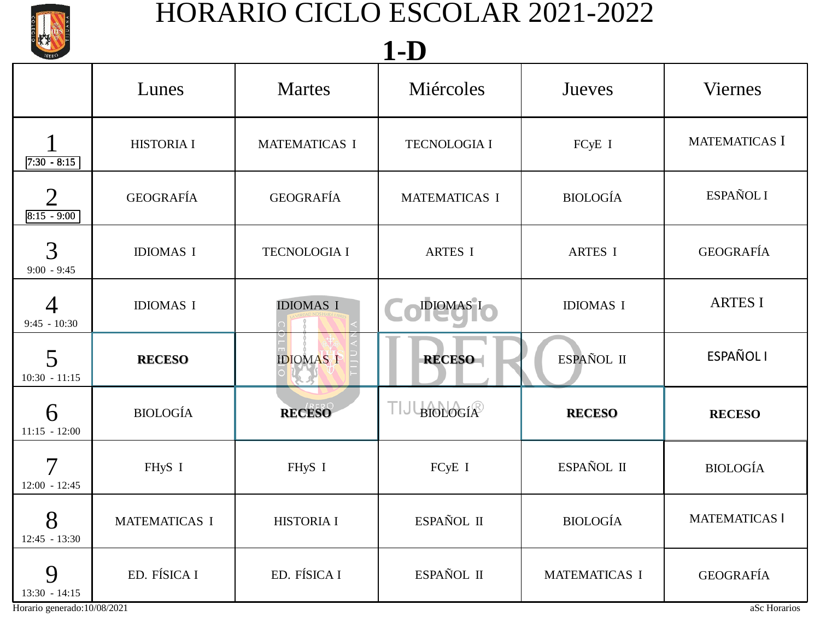

## **1-D**

| IBERO                                               |                   |                      | $\blacksquare$       |                  |                      |
|-----------------------------------------------------|-------------------|----------------------|----------------------|------------------|----------------------|
|                                                     | Lunes             | <b>Martes</b>        | Miércoles            | Jueves           | <b>Viernes</b>       |
| $7:30 - 8:15$                                       | <b>HISTORIA I</b> | <b>MATEMATICAS I</b> | <b>TECNOLOGIA I</b>  | FCyE I           | MATEMATICAS I        |
| $\overline{2}$<br>$8:15 - 9:00$                     | <b>GEOGRAFÍA</b>  | <b>GEOGRAFÍA</b>     | <b>MATEMATICAS I</b> | <b>BIOLOGÍA</b>  | ESPAÑOL I            |
| 3<br>$9:00 - 9:45$                                  | <b>IDIOMAS I</b>  | <b>TECNOLOGIA I</b>  | <b>ARTES I</b>       | <b>ARTES I</b>   | <b>GEOGRAFÍA</b>     |
| 4<br>$9:45 - 10:30$                                 | <b>IDIOMAS I</b>  | <b>IDIOMAS I</b>     | <b>IDIOMAS I</b>     | <b>IDIOMAS I</b> | <b>ARTES I</b>       |
| 5<br>$10:30 - 11:15$                                | <b>RECESO</b>     | <b>IDIOMAS I</b>     | <b>RECESO</b>        | ESPAÑOL II       | <b>ESPAÑOL I</b>     |
| 6<br>$11:15 - 12:00$                                | <b>BIOLOGÍA</b>   | <b>RECESO</b>        | <b>BIOLOGÍA</b>      | <b>RECESO</b>    | <b>RECESO</b>        |
| 7<br>$12:00 - 12:45$                                | FHyS I            | FHyS I               | FCyE I               | ESPAÑOL II       | <b>BIOLOGÍA</b>      |
| $\mathbf Q$<br>$\mathbf{\delta}$<br>$12:45 - 13:30$ | MATEMATICAS I     | <b>HISTORIA I</b>    | ESPAÑOL II           | <b>BIOLOGÍA</b>  | <b>MATEMATICAS I</b> |
| 9<br>$13:30 - 14:15$                                | ED. FÍSICA I      | ED. FÍSICA I         | ESPAÑOL II           | MATEMATICAS I    | <b>GEOGRAFÍA</b>     |
| Horario generado:10/08/2021                         |                   |                      |                      |                  | aSc Horarios         |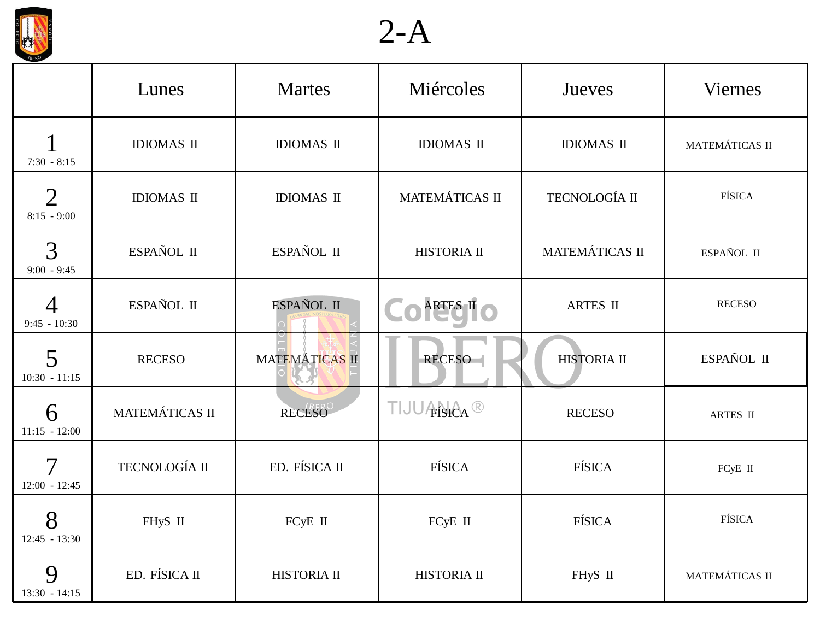

2-A

| <b>IBERO</b>                     | Lunes             | <b>Martes</b>      | Miércoles            | Jueves            | <b>Viernes</b> |
|----------------------------------|-------------------|--------------------|----------------------|-------------------|----------------|
| $7:30 - 8:15$                    | <b>IDIOMAS II</b> | <b>IDIOMAS II</b>  | <b>IDIOMAS II</b>    | <b>IDIOMAS II</b> | MATEMÁTICAS II |
| $\overline{2}$<br>$8:15 - 9:00$  | <b>IDIOMAS II</b> | <b>IDIOMAS II</b>  | MATEMÁTICAS II       | TECNOLOGÍA II     | <b>FÍSICA</b>  |
| 3<br>$9:00 - 9:45$               | ESPAÑOL II        | ESPAÑOL II         | HISTORIA II          | MATEMÁTICAS II    | ESPAÑOL II     |
| $\overline{4}$<br>$9:45 - 10:30$ | ESPAÑOL II        | ESPAÑOL II         | ARTES II             | <b>ARTES II</b>   | <b>RECESO</b>  |
| 5<br>$10:30 - 11:15$             | <b>RECESO</b>     | MATEMÁTICAS II     | RECESO               | HISTORIA II       | ESPAÑOL II     |
| 6<br>$11:15 - 12:00$             | MATEMÁTICAS II    | RECESO             | <b>FISICA</b><br>TIJ | <b>RECESO</b>     | ARTES II       |
| $\mathcal T$<br>$12:00 - 12:45$  | TECNOLOGÍA II     | ED. FÍSICA II      | <b>FÍSICA</b>        | <b>FÍSICA</b>     | FCyE II        |
| 8<br>$12:45 - 13:30$             | FHyS II           | FCyE II            | FCyE II              | <b>FÍSICA</b>     | <b>FÍSICA</b>  |
| 9<br>$13:30 - 14:15$             | ED. FÍSICA II     | <b>HISTORIA II</b> | HISTORIA II          | FHyS II           | MATEMÁTICAS II |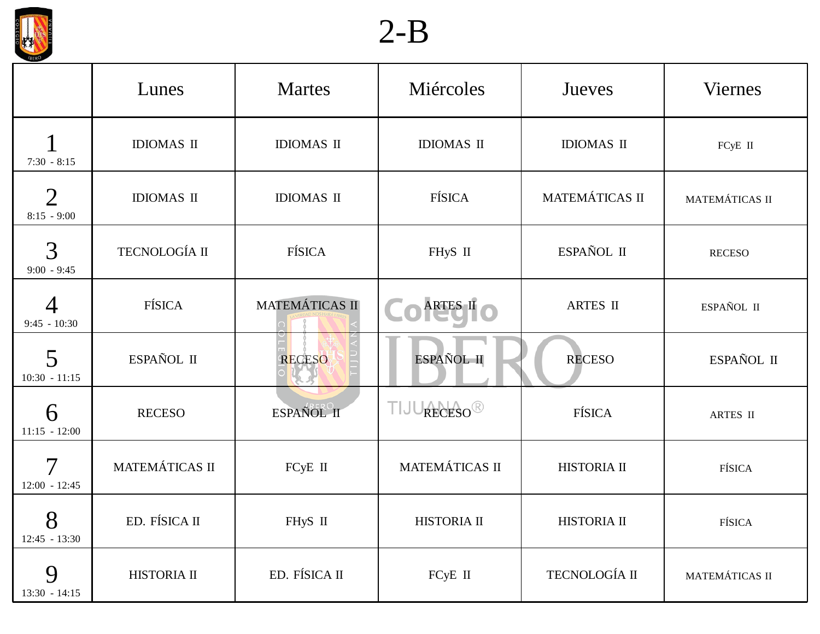

# 2-B

| <b>IBERO</b>                     | Lunes             | <b>Martes</b>     | Miércoles           | Jueves            | <b>Viernes</b> |
|----------------------------------|-------------------|-------------------|---------------------|-------------------|----------------|
| $7:30 - 8:15$                    | <b>IDIOMAS II</b> | <b>IDIOMAS II</b> | <b>IDIOMAS II</b>   | <b>IDIOMAS II</b> | FCyE II        |
| $\overline{2}$<br>$8:15 - 9:00$  | <b>IDIOMAS II</b> | <b>IDIOMAS II</b> | <b>FÍSICA</b>       | MATEMÁTICAS II    | MATEMÁTICAS II |
| 3<br>$9:00 - 9:45$               | TECNOLOGÍA II     | <b>FÍSICA</b>     | FHyS II             | ESPAÑOL II        | <b>RECESO</b>  |
| $\overline{4}$<br>$9:45 - 10:30$ | <b>FÍSICA</b>     | MATEMÁTICAS II    | ARTES II            | ARTES II          | ESPAÑOL II     |
| 5<br>$10:30 - 11:15$             | ESPAÑOL II        | RECESO            | ESPAÑOL II          | <b>RECESO</b>     | ESPAÑOL II     |
| 6<br>$11:15 - 12:00$             | <b>RECESO</b>     | ESPAÑOL II        | RECESO <sup>®</sup> | FÍSICA            | ARTES II       |
| $\mathcal T$<br>$12:00 - 12:45$  | MATEMÁTICAS II    | FCyE II           | MATEMÁTICAS II      | HISTORIA II       | FÍSICA         |
| 8<br>$12:45 - 13:30$             | ED. FÍSICA II     | FHyS II           | HISTORIA II         | HISTORIA II       | FÍSICA         |
| 9<br>$13:30 - 14:15$             | HISTORIA II       | ED. FÍSICA II     | FCyE II             | TECNOLOGÍA II     | MATEMÁTICAS II |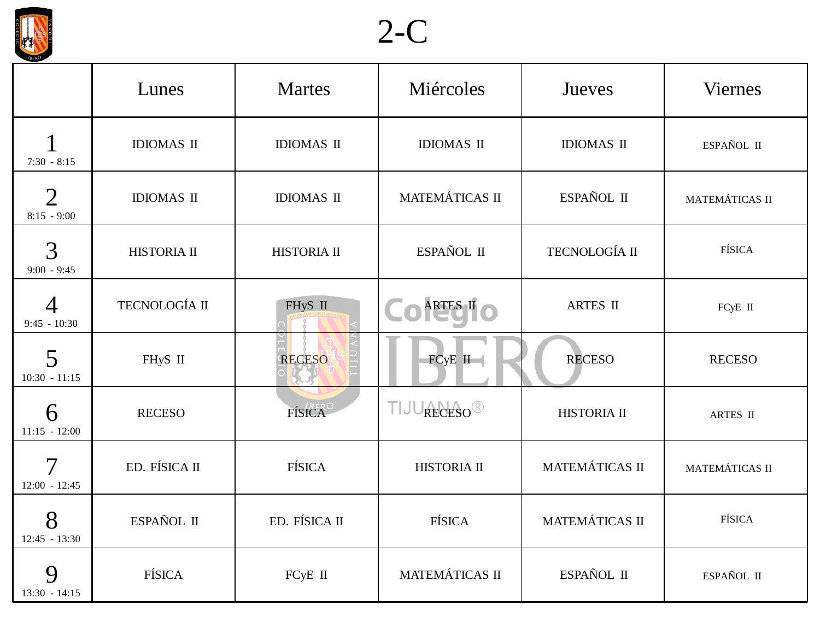



|                                 | Lunes             | <b>Martes</b>     | Miércoles                  | Jueves            | <b>Viernes</b> |
|---------------------------------|-------------------|-------------------|----------------------------|-------------------|----------------|
| $7:30 - 8:15$                   | <b>IDIOMAS II</b> | <b>IDIOMAS II</b> | <b>IDIOMAS II</b>          | <b>IDIOMAS II</b> | ESPAÑOL II     |
| $\overline{2}$<br>$8:15 - 9:00$ | <b>IDIOMAS II</b> | <b>IDIOMAS II</b> | MATEMÁTICAS II             | ESPAÑOL II        | MATEMÁTICAS II |
| 3<br>$9:00 - 9:45$              | HISTORIA II       | HISTORIA II       | ESPAÑOL II                 | TECNOLOGÍA II     | FÍSICA         |
| 4<br>$9:45 - 10:30$             | TECNOLOGÍA II     | FHyS II           | ARTES II                   | <b>ARTES II</b>   | FCyE II        |
| 5<br>$10:30 - 11:15$            | FHyS II           | RECESO            | $FCyE$ II                  | <b>RECESO</b>     | <b>RECESO</b>  |
| 6<br>$11:15 - 12:00$            | <b>RECESO</b>     | FÍSICA            | RECESO <sup>®</sup><br>HJ. | HISTORIA II       | ARTES II       |
| $\tau$<br>$12:00 - 12:45$       | ED. FÍSICA II     | <b>FÍSICA</b>     | <b>HISTORIA II</b>         | MATEMÁTICAS II    | MATEMÁTICAS II |
| 8<br>$12:45 - 13:30$            | ESPAÑOL II        | ED. FÍSICA II     | FÍSICA                     | MATEMÁTICAS II    | FÍSICA         |
| 9<br>$13:30 - 14:15$            | FÍSICA            | FCyE II           | MATEMÁTICAS II             | ESPAÑOL II        | ESPAÑOL II     |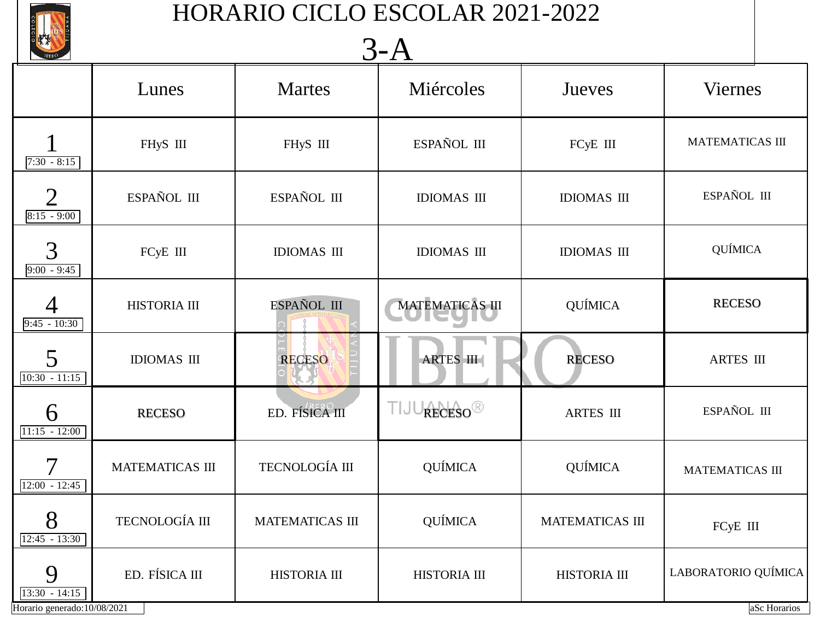

## 3-A

|                                             | <b>IBERO</b><br>$J^ \Gamma$ |                    |                        |                    |                        |  |  |
|---------------------------------------------|-----------------------------|--------------------|------------------------|--------------------|------------------------|--|--|
|                                             | Lunes                       | <b>Martes</b>      | Miércoles              | Jueves             | <b>Viernes</b>         |  |  |
| $7:30 - 8:15$                               | FHyS III                    | FHyS III           | ESPAÑOL III            | FCyE III           | <b>MATEMATICAS III</b> |  |  |
| $\overline{2}$<br>$8:15 - 9:00$             | ESPAÑOL III                 | ESPAÑOL III        | <b>IDIOMAS III</b>     | <b>IDIOMAS III</b> | ESPAÑOL III            |  |  |
| 3<br>$9:00 - 9:45$                          | FCyE III                    | <b>IDIOMAS III</b> | <b>IDIOMAS III</b>     | <b>IDIOMAS III</b> | <b>QUÍMICA</b>         |  |  |
| 4<br>$9:45 - 10:30$                         | HISTORIA III                | ESPAÑOL III        | <b>MATEMATICAS III</b> | <b>QUÍMICA</b>     | <b>RECESO</b>          |  |  |
| 5<br>$10:30 - 11:15$                        | <b>IDIOMAS III</b>          | <b>RECESO</b>      | ARTES III              | <b>RECESO</b>      | <b>ARTES III</b>       |  |  |
| 6<br>$11:15 - 12:00$                        | <b>RECESO</b>               | ED. FÍSICA III     | RECESO <sup>®</sup>    | ARTES III          | ESPAÑOL III            |  |  |
| 7<br>$12:00 - 12:45$                        | <b>MATEMATICAS III</b>      | TECNOLOGÍA III     | <b>QUÍMICA</b>         | <b>QUÍMICA</b>     | <b>MATEMATICAS III</b> |  |  |
| $\mathbf{O}$<br>$\delta$<br>$12:45 - 13:30$ | TECNOLOGÍA III              | MATEMATICAS III    | QUÍMICA                | MATEMATICAS III    | FCyE III               |  |  |
| 9<br>$13:30 - 14:15$                        | ED. FÍSICA III              | HISTORIA III       | HISTORIA III           | HISTORIA III       | LABORATORIO QUÍMICA    |  |  |
| Horario generado:10/08/2021                 |                             |                    |                        |                    | aSc Horarios           |  |  |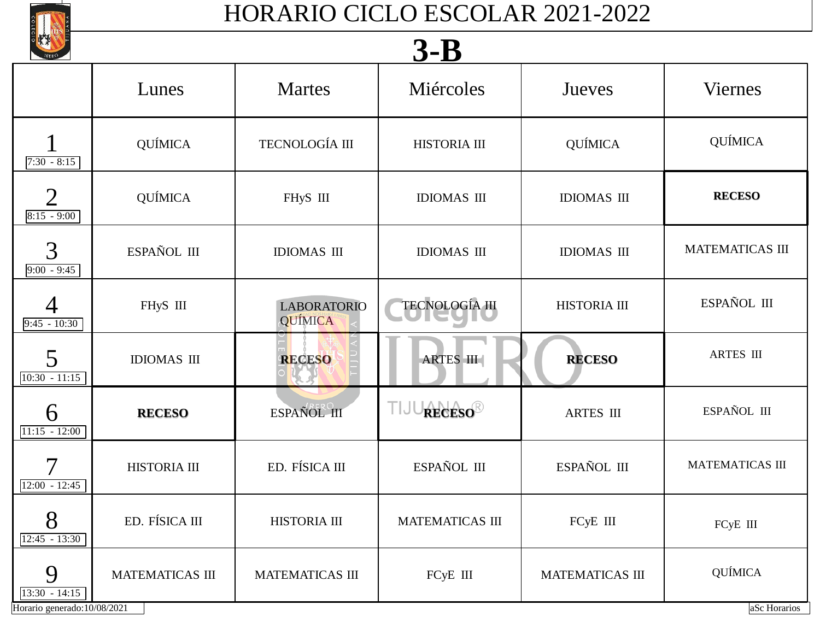

#### **3-B**  $7:30 - 8:15$  $8:15 - 9:00$ 9:00 - 9:45  $9:45 - 10:30$ 10:30 - 11:15 11:15 - 12:00 12:00 - 12:45  $12:45 - 13:30$ 13:30 - 14:15 Horario generado:10/08/2021 and also Horarios Lunes | Martes | Miércoles | Jueves | Viernes 1 QUÍMICA TECNOLOGÍA III HISTORIA III QUÍMICA QUÍMICA 2 QUÍMICA FHyS III IDIOMAS III **IDIOMAS III RECESO**  $\overline{3}$  ESPAÑOL III | IDIOMAS III | IDIOMAS III | IDIOMAS III | MATEMATICAS III 4 FHyS III LABORATORIO QUÍMICA TECNOLOGÍA III HISTORIA III ESPAÑOL III 5 IDIOMAS III **RECESO RECESO** ARTES III **RECESO** ARTES III 6 RECESO ESPAÑOL III **RECESO**<sup>®</sup> ARTES II ESPAÑOL III 7 HISTORIA III ED. FÍSICA III ESPAÑOL III ESPAÑOL III MATEMATICAS II  $8$  ED. FÍSICA III HISTORIA III MATEMATICAS III FCyE III FCyE III 9 MATEMATICAS III | MATEMATICAS III | FCyE III | MATEMATICAS III | QUÍMICA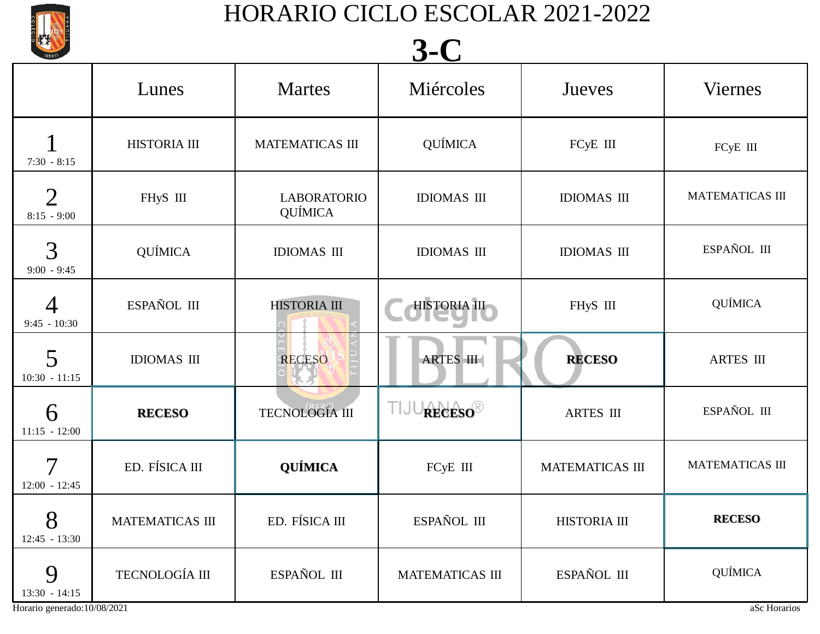

## **3-C**

| JBERO                                       | J-V                    |                               |                        |                        |                        |  |
|---------------------------------------------|------------------------|-------------------------------|------------------------|------------------------|------------------------|--|
|                                             | Lunes                  | <b>Martes</b>                 | Miércoles              | Jueves                 | <b>Viernes</b>         |  |
| $7:30 - 8:15$                               | HISTORIA III           | <b>MATEMATICAS III</b>        | <b>QUÍMICA</b>         | FCyE III               | FCyE III               |  |
| $\overline{2}$<br>$8:15 - 9:00$             | FHyS III               | <b>LABORATORIO</b><br>QUÍMICA | <b>IDIOMAS III</b>     | <b>IDIOMAS III</b>     | MATEMATICAS III        |  |
| 3<br>$9:00 - 9:45$                          | QUÍMICA                | <b>IDIOMAS III</b>            | <b>IDIOMAS III</b>     | <b>IDIOMAS III</b>     | ESPAÑOL III            |  |
| 4<br>$9:45 - 10:30$                         | ESPAÑOL III            | <b>HISTORIA III</b>           | HISTORIA III           | FHyS III               | <b>QUÍMICA</b>         |  |
| 5<br>$10:30 - 11:15$                        | <b>IDIOMAS III</b>     | <b>RECESO</b>                 | <b>ARTES III</b>       | <b>RECESO</b>          | <b>ARTES III</b>       |  |
| 6<br>$11:15 - 12:00$                        | <b>RECESO</b>          | TECNOLOGÍA III                | RECESO®<br>П           | <b>ARTES III</b>       | ESPAÑOL III            |  |
| 7<br>$12:00 - 12:45$                        | ED. FÍSICA III         | QUÍMICA                       | FCyE III               | <b>MATEMATICAS III</b> | <b>MATEMATICAS III</b> |  |
| $\mathbf{O}$<br>$\delta$<br>$12:45 - 13:30$ | <b>MATEMATICAS III</b> | ED. FÍSICA III                | ESPAÑOL III            | HISTORIA III           | <b>RECESO</b>          |  |
| 9<br>$13:30 - 14:15$                        | TECNOLOGÍA III         | ESPAÑOL III                   | <b>MATEMATICAS III</b> | ESPAÑOL III            | <b>QUÍMICA</b>         |  |
| Horario generado:10/08/2021                 |                        |                               |                        |                        | aSc Horarios           |  |